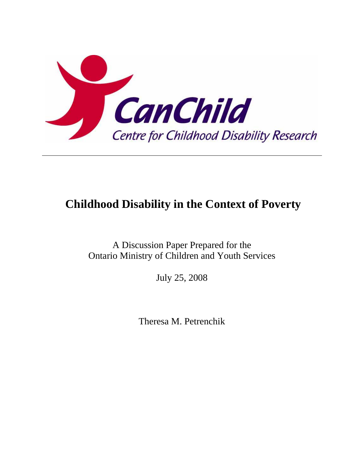

# **Childhood Disability in the Context of Poverty**

A Discussion Paper Prepared for the Ontario Ministry of Children and Youth Services

July 25, 2008

Theresa M. Petrenchik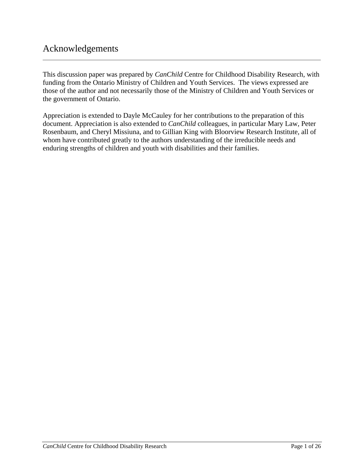# Acknowledgements

This discussion paper was prepared by *CanChild* Centre for Childhood Disability Research, with funding from the Ontario Ministry of Children and Youth Services. The views expressed are those of the author and not necessarily those of the Ministry of Children and Youth Services or the government of Ontario.

Appreciation is extended to Dayle McCauley for her contributions to the preparation of this document. Appreciation is also extended to *CanChild* colleagues, in particular Mary Law, Peter Rosenbaum, and Cheryl Missiuna, and to Gillian King with Bloorview Research Institute, all of whom have contributed greatly to the authors understanding of the irreducible needs and enduring strengths of children and youth with disabilities and their families.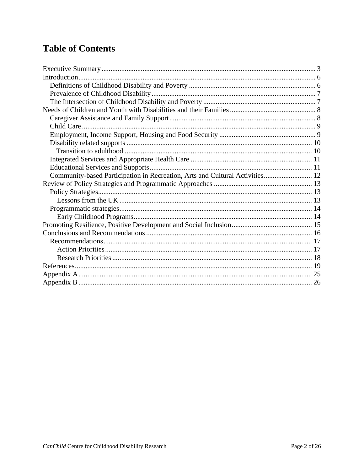# **Table of Contents**

| Community-based Participation in Recreation, Arts and Cultural Activities 12 |  |
|------------------------------------------------------------------------------|--|
|                                                                              |  |
|                                                                              |  |
|                                                                              |  |
|                                                                              |  |
|                                                                              |  |
|                                                                              |  |
|                                                                              |  |
|                                                                              |  |
|                                                                              |  |
|                                                                              |  |
|                                                                              |  |
|                                                                              |  |
|                                                                              |  |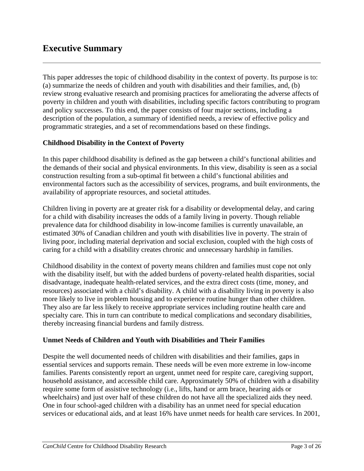# <span id="page-3-0"></span>**Executive Summary**

This paper addresses the topic of childhood disability in the context of poverty. Its purpose is to: (a) summarize the needs of children and youth with disabilities and their families, and, (b) review strong evaluative research and promising practices for ameliorating the adverse affects of poverty in children and youth with disabilities, including specific factors contributing to program and policy successes. To this end, the paper consists of four major sections, including a description of the population, a summary of identified needs, a review of effective policy and programmatic strategies, and a set of recommendations based on these findings.

### **Childhood Disability in the Context of Poverty**

In this paper childhood disability is defined as the gap between a child's functional abilities and the demands of their social and physical environments. In this view, disability is seen as a social construction resulting from a sub-optimal fit between a child's functional abilities and environmental factors such as the accessibility of services, programs, and built environments, the availability of appropriate resources, and societal attitudes.

Children living in poverty are at greater risk for a disability or developmental delay, and caring for a child with disability increases the odds of a family living in poverty. Though reliable prevalence data for childhood disability in low-income families is currently unavailable, an estimated 30% of Canadian children and youth with disabilities live in poverty. The strain of living poor, including material deprivation and social exclusion, coupled with the high costs of caring for a child with a disability creates chronic and unnecessary hardship in families.

Childhood disability in the context of poverty means children and families must cope not only with the disability itself, but with the added burdens of poverty-related health disparities, social disadvantage, inadequate health-related services, and the extra direct costs (time, money, and resources) associated with a child's disability. A child with a disability living in poverty is also more likely to live in problem housing and to experience routine hunger than other children. They also are far less likely to receive appropriate services including routine health care and specialty care. This in turn can contribute to medical complications and secondary disabilities, thereby increasing financial burdens and family distress.

#### **Unmet Needs of Children and Youth with Disabilities and Their Families**

Despite the well documented needs of children with disabilities and their families, gaps in essential services and supports remain. These needs will be even more extreme in low-income families. Parents consistently report an urgent, unmet need for respite care, caregiving support, household assistance, and accessible child care. Approximately 50% of children with a disability require some form of assistive technology (i.e., lifts, hand or arm brace, hearing aids or wheelchairs) and just over half of these children do not have all the specialized aids they need. One in four school-aged children with a disability has an unmet need for special education services or educational aids, and at least 16% have unmet needs for health care services. In 2001,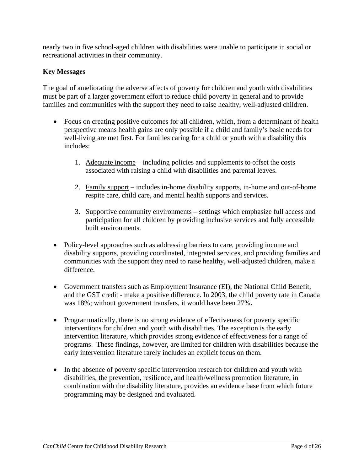nearly two in five school-aged children with disabilities were unable to participate in social or recreational activities in their community.

### **Key Messages**

The goal of ameliorating the adverse affects of poverty for children and youth with disabilities must be part of a larger government effort to reduce child poverty in general and to provide families and communities with the support they need to raise healthy, well-adjusted children.

- Focus on creating positive outcomes for all children, which, from a determinant of health perspective means health gains are only possible if a child and family's basic needs for well-living are met first. For families caring for a child or youth with a disability this includes:
	- 1. Adequate income including policies and supplements to offset the costs associated with raising a child with disabilities and parental leaves.
	- 2. Family support includes in-home disability supports, in-home and out-of-home respite care, child care, and mental health supports and services.
	- 3. Supportive community environments settings which emphasize full access and participation for all children by providing inclusive services and fully accessible built environments.
- Policy-level approaches such as addressing barriers to care, providing income and disability supports, providing coordinated, integrated services, and providing families and communities with the support they need to raise healthy, well-adjusted children, make a difference.
- Government transfers such as Employment Insurance (EI), the National Child Benefit, and the GST credit - make a positive difference. In 2003, the child poverty rate in Canada was 18%; without government transfers, it would have been 27%**.**
- Programmatically, there is no strong evidence of effectiveness for poverty specific interventions for children and youth with disabilities. The exception is the early intervention literature, which provides strong evidence of effectiveness for a range of programs. These findings, however, are limited for children with disabilities because the early intervention literature rarely includes an explicit focus on them.
- In the absence of poverty specific intervention research for children and youth with disabilities, the prevention, resilience, and health/wellness promotion literature, in combination with the disability literature, provides an evidence base from which future programming may be designed and evaluated.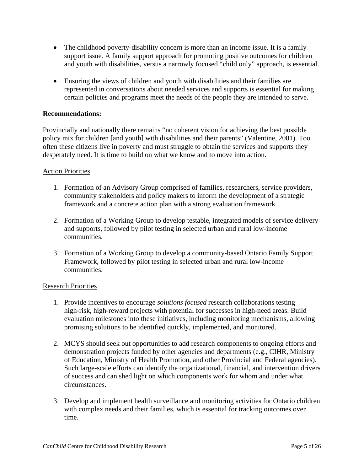- The childhood poverty-disability concern is more than an income issue. It is a family support issue. A family support approach for promoting positive outcomes for children and youth with disabilities, versus a narrowly focused "child only" approach, is essential.
- Ensuring the views of children and youth with disabilities and their families are represented in conversations about needed services and supports is essential for making certain policies and programs meet the needs of the people they are intended to serve.

#### **Recommendations:**

Provincially and nationally there remains "no coherent vision for achieving the best possible policy mix for children [and youth] with disabilities and their parents" (Valentine, 2001). Too often these citizens live in poverty and must struggle to obtain the services and supports they desperately need. It is time to build on what we know and to move into action.

#### Action Priorities

- 1. Formation of an Advisory Group comprised of families, researchers, service providers, community stakeholders and policy makers to inform the development of a strategic framework and a concrete action plan with a strong evaluation framework.
- 2. Formation of a Working Group to develop testable, integrated models of service delivery and supports, followed by pilot testing in selected urban and rural low-income communities.
- 3. Formation of a Working Group to develop a community-based Ontario Family Support Framework, followed by pilot testing in selected urban and rural low-income communities.

#### Research Priorities

- 1. Provide incentives to encourage *solutions focused* research collaborations testing high-risk, high-reward projects with potential for successes in high-need areas. Build evaluation milestones into these initiatives, including monitoring mechanisms, allowing promising solutions to be identified quickly, implemented, and monitored.
- 2. MCYS should seek out opportunities to add research components to ongoing efforts and demonstration projects funded by other agencies and departments (e.g., CIHR, Ministry of Education, Ministry of Health Promotion, and other Provincial and Federal agencies). Such large-scale efforts can identify the organizational, financial, and intervention drivers of success and can shed light on which components work for whom and under what circumstances.
- 3. Develop and implement health surveillance and monitoring activities for Ontario children with complex needs and their families, which is essential for tracking outcomes over time.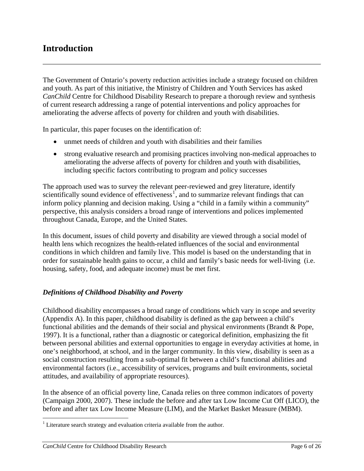# <span id="page-6-0"></span>**Introduction**

The Government of Ontario's poverty reduction activities include a strategy focused on children and youth. As part of this initiative, the Ministry of Children and Youth Services has asked *CanChild* Centre for Childhood Disability Research to prepare a thorough review and synthesis of current research addressing a range of potential interventions and policy approaches for ameliorating the adverse affects of poverty for children and youth with disabilities.

In particular, this paper focuses on the identification of:

- unmet needs of children and youth with disabilities and their families
- strong evaluative research and promising practices involving non-medical approaches to ameliorating the adverse affects of poverty for children and youth with disabilities, including specific factors contributing to program and policy successes

The approach used was to survey the relevant peer-reviewed and grey literature, identify scientifically sound evidence of effectiveness<sup>[1](#page-6-1)</sup>, and to summarize relevant findings that can inform policy planning and decision making. Using a "child in a family within a community" perspective, this analysis considers a broad range of interventions and polices implemented throughout Canada, Europe, and the United States.

In this document, issues of child poverty and disability are viewed through a social model of health lens which recognizes the health-related influences of the social and environmental conditions in which children and family live. This model is based on the understanding that in order for sustainable health gains to occur, a child and family's basic needs for well-living (i.e. housing, safety, food, and adequate income) must be met first.

#### *Definitions of Childhood Disability and Poverty*

Childhood disability encompasses a broad range of conditions which vary in scope and severity (Appendix A). In this paper, childhood disability is defined as the gap between a child's functional abilities and the demands of their social and physical environments (Brandt & Pope, 1997). It is a functional, rather than a diagnostic or categorical definition, emphasizing the fit between personal abilities and external opportunities to engage in everyday activities at home, in one's neighborhood, at school, and in the larger community. In this view, disability is seen as a social construction resulting from a sub-optimal fit between a child's functional abilities and environmental factors (i.e., accessibility of services, programs and built environments, societal attitudes, and availability of appropriate resources).

In the absence of an official poverty line, Canada relies on three common indicators of poverty (Campaign 2000, 2007). These include the before and after tax Low Income Cut Off (LICO), the before and after tax Low Income Measure (LIM), and the Market Basket Measure (MBM).

<u>.</u>

<span id="page-6-1"></span> $<sup>1</sup>$  Literature search strategy and evaluation criteria available from the author.</sup>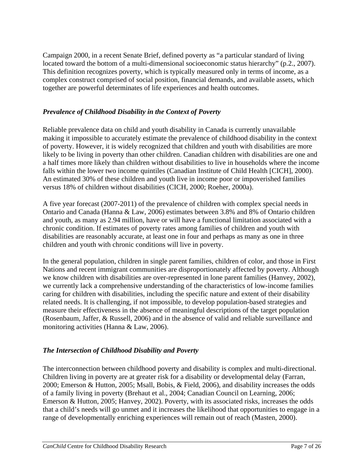<span id="page-7-0"></span>Campaign 2000, in a recent Senate Brief, defined poverty as "a particular standard of living located toward the bottom of a multi-dimensional socioeconomic status hierarchy" (p.2., 2007). This definition recognizes poverty, which is typically measured only in terms of income, as a complex construct comprised of social position, financial demands, and available assets, which together are powerful determinates of life experiences and health outcomes.

### *Prevalence of Childhood Disability in the Context of Poverty*

Reliable prevalence data on child and youth disability in Canada is currently unavailable making it impossible to accurately estimate the prevalence of childhood disability in the context of poverty. However, it is widely recognized that children and youth with disabilities are more likely to be living in poverty than other children. Canadian children with disabilities are one and a half times more likely than children without disabilities to live in households where the income falls within the lower two income quintiles (Canadian Institute of Child Health [CICH], 2000). An estimated 30% of these children and youth live in income poor or impoverished families versus 18% of children without disabilities (CICH, 2000; Roeher, 2000a).

A five year forecast (2007-2011) of the prevalence of children with complex special needs in Ontario and Canada (Hanna & Law, 2006) estimates between 3.8% and 8% of Ontario children and youth, as many as 2.94 million, have or will have a functional limitation associated with a chronic condition. If estimates of poverty rates among families of children and youth with disabilities are reasonably accurate, at least one in four and perhaps as many as one in three children and youth with chronic conditions will live in poverty.

In the general population, children in single parent families, children of color, and those in First Nations and recent immigrant communities are disproportionately affected by poverty. Although we know children with disabilities are over-represented in lone parent families (Hanvey, 2002), we currently lack a comprehensive understanding of the characteristics of low-income families caring for children with disabilities, including the specific nature and extent of their disability related needs. It is challenging, if not impossible, to develop population-based strategies and measure their effectiveness in the absence of meaningful descriptions of the target population (Rosenbaum, Jaffer, & Russell, 2006) and in the absence of valid and reliable surveillance and monitoring activities (Hanna & Law, 2006).

## *The Intersection of Childhood Disability and Poverty*

The interconnection between childhood poverty and disability is complex and multi-directional. Children living in poverty are at greater risk for a disability or developmental delay (Farran, 2000; Emerson & Hutton, 2005; Msall, Bobis, & Field, 2006), and disability increases the odds of a family living in poverty (Brehaut et al., 2004; Canadian Council on Learning, 2006; Emerson & Hutton, 2005; Hanvey, 2002). Poverty, with its associated risks, increases the odds that a child's needs will go unmet and it increases the likelihood that opportunities to engage in a range of developmentally enriching experiences will remain out of reach (Masten, 2000).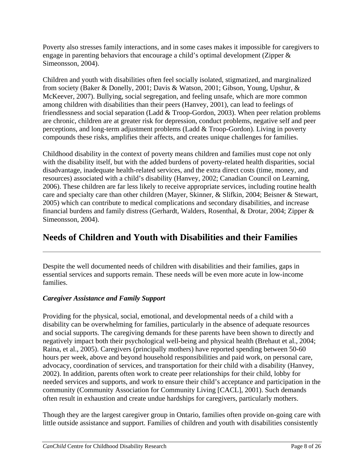<span id="page-8-0"></span>Poverty also stresses family interactions, and in some cases makes it impossible for caregivers to engage in parenting behaviors that encourage a child's optimal development (Zipper & Simeonsson, 2004).

Children and youth with disabilities often feel socially isolated, stigmatized, and marginalized from society (Baker & Donelly, 2001; Davis & Watson, 2001; Gibson, Young, Upshur, & McKeever, 2007). Bullying, social segregation, and feeling unsafe, which are more common among children with disabilities than their peers (Hanvey, 2001), can lead to feelings of friendlessness and social separation (Ladd & Troop-Gordon, 2003). When peer relation problems are chronic, children are at greater risk for depression, conduct problems, negative self and peer perceptions, and long-term adjustment problems (Ladd & Troop-Gordon). Living in poverty compounds these risks, amplifies their affects, and creates unique challenges for families.

Childhood disability in the context of poverty means children and families must cope not only with the disability itself, but with the added burdens of poverty-related health disparities, social disadvantage, inadequate health-related services, and the extra direct costs (time, money, and resources) associated with a child's disability (Hanvey, 2002; Canadian Council on Learning, 2006). These children are far less likely to receive appropriate services, including routine health care and specialty care than other children (Mayer, Skinner, & Slifkin, 2004; Beisner & Stewart, 2005) which can contribute to medical complications and secondary disabilities, and increase financial burdens and family distress (Gerhardt, Walders, Rosenthal, & Drotar, 2004; Zipper & Simeonsson, 2004).

# **Needs of Children and Youth with Disabilities and their Families**

Despite the well documented needs of children with disabilities and their families, gaps in essential services and supports remain. These needs will be even more acute in low-income families.

## *Caregiver Assistance and Family Support*

Providing for the physical, social, emotional, and developmental needs of a child with a disability can be overwhelming for families, particularly in the absence of adequate resources and social supports. The caregiving demands for these parents have been shown to directly and negatively impact both their psychological well-being and physical health (Brehaut et al., 2004; Raina, et al., 2005). Caregivers (principally mothers) have reported spending between 50-60 hours per week, above and beyond household responsibilities and paid work, on personal care, advocacy, coordination of services, and transportation for their child with a disability (Hanvey, 2002). In addition, parents often work to create peer relationships for their child, lobby for needed services and supports, and work to ensure their child's acceptance and participation in the community (Community Association for Community Living [CACL], 2001). Such demands often result in exhaustion and create undue hardships for caregivers, particularly mothers.

Though they are the largest caregiver group in Ontario, families often provide on-going care with little outside assistance and support. Families of children and youth with disabilities consistently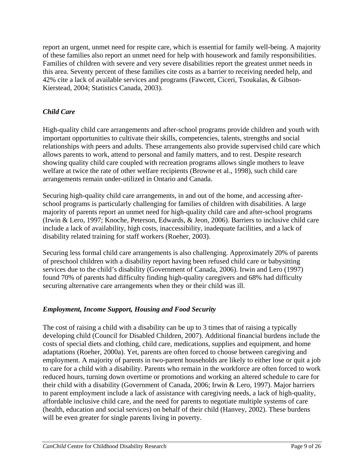<span id="page-9-0"></span>report an urgent, unmet need for respite care, which is essential for family well-being. A majority of these families also report an unmet need for help with housework and family responsibilities. Families of children with severe and very severe disabilities report the greatest unmet needs in this area. Seventy percent of these families cite costs as a barrier to receiving needed help, and 42% cite a lack of available services and programs (Fawcett, Ciceri, Tsoukalas, & Gibson-Kierstead, 2004; Statistics Canada, 2003).

# *Child Care*

High-quality child care arrangements and after-school programs provide children and youth with important opportunities to cultivate their skills, competencies, talents, strengths and social relationships with peers and adults. These arrangements also provide supervised child care which allows parents to work, attend to personal and family matters, and to rest. Despite research showing quality child care coupled with recreation programs allows single mothers to leave welfare at twice the rate of other welfare recipients (Browne et al., 1998), such child care arrangements remain under-utilized in Ontario and Canada.

Securing high-quality child care arrangements, in and out of the home, and accessing afterschool programs is particularly challenging for families of children with disabilities. A large majority of parents report an unmet need for high-quality child care and after-school programs (Irwin & Lero, 1997; Knoche, Peterson, Edwards, & Jeon, 2006). Barriers to inclusive child care include a lack of availability, high costs, inaccessibility, inadequate facilities, and a lack of disability related training for staff workers (Roeher, 2003).

Securing less formal child care arrangements is also challenging. Approximately 20% of parents of preschool children with a disability report having been refused child care or babysitting services due to the child's disability (Government of Canada, 2006). Irwin and Lero (1997) found 70% of parents had difficulty finding high-quality caregivers and 68% had difficulty securing alternative care arrangements when they or their child was ill.

## *Employment, Income Support, Housing and Food Security*

The cost of raising a child with a disability can be up to 3 times that of raising a typically developing child (Council for Disabled Children, 2007). Additional financial burdens include the costs of special diets and clothing, child care, medications, supplies and equipment, and home adaptations (Roeher, 2000a). Yet, parents are often forced to choose between caregiving and employment. A majority of parents in two-parent households are likely to either lose or quit a job to care for a child with a disability. Parents who remain in the workforce are often forced to work reduced hours, turning down overtime or promotions and working an altered schedule to care for their child with a disability (Government of Canada, 2006; Irwin & Lero, 1997). Major barriers to parent employment include a lack of assistance with caregiving needs, a lack of high-quality, affordable inclusive child care, and the need for parents to negotiate multiple systems of care (health, education and social services) on behalf of their child (Hanvey, 2002). These burdens will be even greater for single parents living in poverty.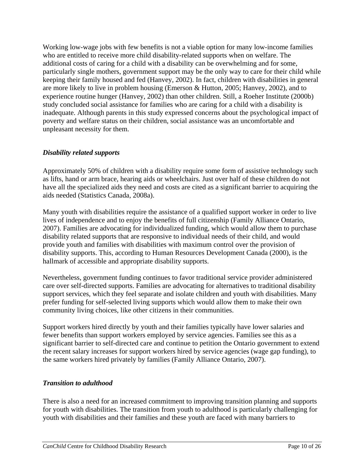<span id="page-10-0"></span>Working low-wage jobs with few benefits is not a viable option for many low-income families who are entitled to receive more child disability-related supports when on welfare. The additional costs of caring for a child with a disability can be overwhelming and for some, particularly single mothers, government support may be the only way to care for their child while keeping their family housed and fed (Hanvey, 2002). In fact, children with disabilities in general are more likely to live in problem housing (Emerson & Hutton, 2005; Hanvey, 2002), and to experience routine hunger (Hanvey, 2002) than other children. Still, a Roeher Institute (2000b) study concluded social assistance for families who are caring for a child with a disability is inadequate. Although parents in this study expressed concerns about the psychological impact of poverty and welfare status on their children, social assistance was an uncomfortable and unpleasant necessity for them.

### *Disability related supports*

Approximately 50% of children with a disability require some form of assistive technology such as lifts, hand or arm brace, hearing aids or wheelchairs. Just over half of these children do not have all the specialized aids they need and costs are cited as a significant barrier to acquiring the aids needed (Statistics Canada, 2008a).

Many youth with disabilities require the assistance of a qualified support worker in order to live lives of independence and to enjoy the benefits of full citizenship (Family Alliance Ontario, 2007). Families are advocating for individualized funding, which would allow them to purchase disability related supports that are responsive to individual needs of their child, and would provide youth and families with disabilities with maximum control over the provision of disability supports. This, according to Human Resources Development Canada (2000), is the hallmark of accessible and appropriate disability supports.

Nevertheless, government funding continues to favor traditional service provider administered care over self-directed supports. Families are advocating for alternatives to traditional disability support services, which they feel separate and isolate children and youth with disabilities. Many prefer funding for self-selected living supports which would allow them to make their own community living choices, like other citizens in their communities.

Support workers hired directly by youth and their families typically have lower salaries and fewer benefits than support workers employed by service agencies. Families see this as a significant barrier to self-directed care and continue to petition the Ontario government to extend the recent salary increases for support workers hired by service agencies (wage gap funding), to the same workers hired privately by families (Family Alliance Ontario, 2007).

#### *Transition to adulthood*

There is also a need for an increased commitment to improving transition planning and supports for youth with disabilities. The transition from youth to adulthood is particularly challenging for youth with disabilities and their families and these youth are faced with many barriers to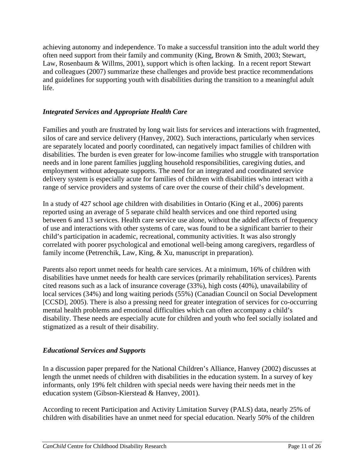<span id="page-11-0"></span>achieving autonomy and independence. To make a successful transition into the adult world they often need support from their family and community (King, Brown & Smith, 2003; Stewart, Law, Rosenbaum & Willms, 2001), support which is often lacking. In a recent report Stewart and colleagues (2007) summarize these challenges and provide best practice recommendations and guidelines for supporting youth with disabilities during the transition to a meaningful adult life.

### *Integrated Services and Appropriate Health Care*

Families and youth are frustrated by long wait lists for services and interactions with fragmented, silos of care and service delivery (Hanvey, 2002). Such interactions, particularly when services are separately located and poorly coordinated, can negatively impact families of children with disabilities. The burden is even greater for low-income families who struggle with transportation needs and in lone parent families juggling household responsibilities, caregiving duties, and employment without adequate supports. The need for an integrated and coordinated service delivery system is especially acute for families of children with disabilities who interact with a range of service providers and systems of care over the course of their child's development.

In a study of 427 school age children with disabilities in Ontario (King et al., 2006) parents reported using an average of 5 separate child health services and one third reported using between 6 and 13 services. Health care service use alone, without the added affects of frequency of use and interactions with other systems of care, was found to be a significant barrier to their child's participation in academic, recreational, community activities. It was also strongly correlated with poorer psychological and emotional well-being among caregivers, regardless of family income (Petrenchik, Law, King, & Xu, manuscript in preparation).

Parents also report unmet needs for health care services. At a minimum, 16% of children with disabilities have unmet needs for health care services (primarily rehabilitation services). Parents cited reasons such as a lack of insurance coverage (33%), high costs (40%), unavailability of local services (34%) and long waiting periods (55%) (Canadian Council on Social Development [CCSD], 2005). There is also a pressing need for greater integration of services for co-occurring mental health problems and emotional difficulties which can often accompany a child's disability. These needs are especially acute for children and youth who feel socially isolated and stigmatized as a result of their disability.

#### *Educational Services and Supports*

In a discussion paper prepared for the National Children's Alliance, Hanvey (2002) discusses at length the unmet needs of children with disabilities in the education system. In a survey of key informants, only 19% felt children with special needs were having their needs met in the education system (Gibson-Kierstead & Hanvey, 2001).

According to recent Participation and Activity Limitation Survey (PALS) data, nearly 25% of children with disabilities have an unmet need for special education. Nearly 50% of the children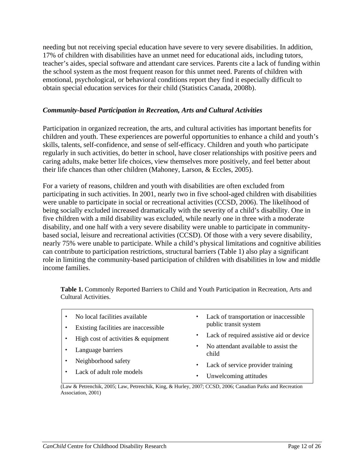<span id="page-12-0"></span>needing but not receiving special education have severe to very severe disabilities. In addition, 17% of children with disabilities have an unmet need for educational aids, including tutors, teacher's aides, special software and attendant care services. Parents cite a lack of funding within the school system as the most frequent reason for this unmet need. Parents of children with emotional, psychological, or behavioral conditions report they find it especially difficult to obtain special education services for their child (Statistics Canada, 2008b).

#### *Community-based Participation in Recreation, Arts and Cultural Activities*

Participation in organized recreation, the arts, and cultural activities has important benefits for children and youth. These experiences are powerful opportunities to enhance a child and youth's skills, talents, self-confidence, and sense of self-efficacy. Children and youth who participate regularly in such activities, do better in school, have closer relationships with positive peers and caring adults, make better life choices, view themselves more positively, and feel better about their life chances than other children (Mahoney, Larson, & Eccles, 2005).

For a variety of reasons, children and youth with disabilities are often excluded from participating in such activities. In 2001, nearly two in five school-aged children with disabilities were unable to participate in social or recreational activities (CCSD, 2006). The likelihood of being socially excluded increased dramatically with the severity of a child's disability. One in five children with a mild disability was excluded, while nearly one in three with a moderate disability, and one half with a very severe disability were unable to participate in communitybased social, leisure and recreational activities (CCSD). Of those with a very severe disability, nearly 75% were unable to participate. While a child's physical limitations and cognitive abilities can contribute to participation restrictions, structural barriers (Table 1) also play a significant role in limiting the community-based participation of children with disabilities in low and middle income families.

**Table 1.** Commonly Reported Barriers to Child and Youth Participation in Recreation, Arts and Cultural Activities.

|                                                                                                    | No local facilities available                                                 | ٠ | Lack of transportation or inaccessible<br>public transit system |  |
|----------------------------------------------------------------------------------------------------|-------------------------------------------------------------------------------|---|-----------------------------------------------------------------|--|
|                                                                                                    | Existing facilities are inaccessible<br>High cost of activities $&$ equipment | ٠ | Lack of required assistive aid or device                        |  |
|                                                                                                    | Language barriers                                                             | ٠ | No attendant available to assist the<br>child                   |  |
|                                                                                                    | Neighborhood safety                                                           | ٠ | Lack of service provider training                               |  |
|                                                                                                    | Lack of adult role models                                                     | ٠ | Unwelcoming attitudes                                           |  |
| Law & Petrenchik 2005; Law Petrenchik King & Hurley 2007; CCSD 2006; Canadian Parks and Recreation |                                                                               |   |                                                                 |  |

2005; Law, Petrenchik, King, & Hurley, 2007; CCSD, 2006; Canadian Association, 2001)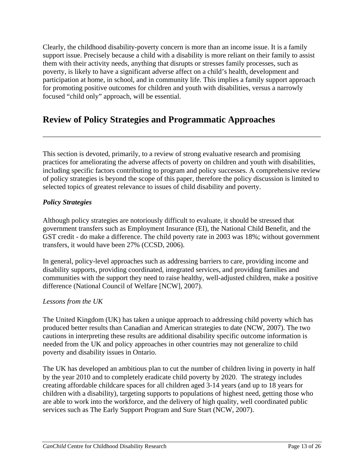<span id="page-13-0"></span>Clearly, the childhood disability-poverty concern is more than an income issue. It is a family support issue. Precisely because a child with a disability is more reliant on their family to assist them with their activity needs, anything that disrupts or stresses family processes, such as poverty, is likely to have a significant adverse affect on a child's health, development and participation at home, in school, and in community life. This implies a family support approach for promoting positive outcomes for children and youth with disabilities, versus a narrowly focused "child only" approach, will be essential.

# **Review of Policy Strategies and Programmatic Approaches**

This section is devoted, primarily, to a review of strong evaluative research and promising practices for ameliorating the adverse affects of poverty on children and youth with disabilities, including specific factors contributing to program and policy successes. A comprehensive review of policy strategies is beyond the scope of this paper, therefore the policy discussion is limited to selected topics of greatest relevance to issues of child disability and poverty.

### *Policy Strategies*

Although policy strategies are notoriously difficult to evaluate, it should be stressed that government transfers such as Employment Insurance (EI), the National Child Benefit, and the GST credit - do make a difference. The child poverty rate in 2003 was 18%; without government transfers, it would have been 27% (CCSD, 2006).

In general, policy-level approaches such as addressing barriers to care, providing income and disability supports, providing coordinated, integrated services, and providing families and communities with the support they need to raise healthy, well-adjusted children, make a positive difference (National Council of Welfare [NCW], 2007).

#### *Lessons from the UK*

The United Kingdom (UK) has taken a unique approach to addressing child poverty which has produced better results than Canadian and American strategies to date (NCW, 2007). The two cautions in interpreting these results are additional disability specific outcome information is needed from the UK and policy approaches in other countries may not generalize to child poverty and disability issues in Ontario.

The UK has developed an ambitious plan to cut the number of children living in poverty in half by the year 2010 and to completely eradicate child poverty by 2020. The strategy includes creating affordable childcare spaces for all children aged 3-14 years (and up to 18 years for children with a disability), targeting supports to populations of highest need, getting those who are able to work into the workforce, and the delivery of high quality, well coordinated public services such as The Early Support Program and Sure Start (NCW, 2007).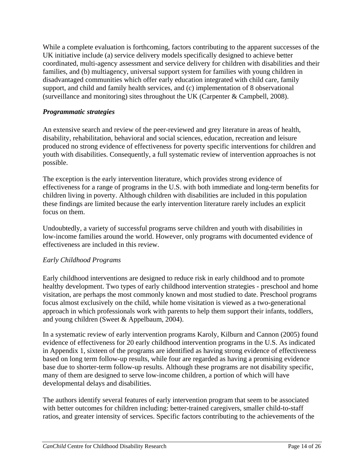<span id="page-14-0"></span>While a complete evaluation is forthcoming, factors contributing to the apparent successes of the UK initiative include (a) service delivery models specifically designed to achieve better coordinated, multi-agency assessment and service delivery for children with disabilities and their families, and (b) multiagency, universal support system for families with young children in disadvantaged communities which offer early education integrated with child care, family support, and child and family health services, and (c) implementation of 8 observational (surveillance and monitoring) sites throughout the UK (Carpenter & Campbell, 2008).

### *Programmatic strategies*

An extensive search and review of the peer-reviewed and grey literature in areas of health, disability, rehabilitation, behavioral and social sciences, education, recreation and leisure produced no strong evidence of effectiveness for poverty specific interventions for children and youth with disabilities. Consequently, a full systematic review of intervention approaches is not possible.

The exception is the early intervention literature, which provides strong evidence of effectiveness for a range of programs in the U.S. with both immediate and long-term benefits for children living in poverty. Although children with disabilities are included in this population these findings are limited because the early intervention literature rarely includes an explicit focus on them.

Undoubtedly, a variety of successful programs serve children and youth with disabilities in low-income families around the world. However, only programs with documented evidence of effectiveness are included in this review.

## *Early Childhood Programs*

Early childhood interventions are designed to reduce risk in early childhood and to promote healthy development. Two types of early childhood intervention strategies - preschool and home visitation, are perhaps the most commonly known and most studied to date. Preschool programs focus almost exclusively on the child, while home visitation is viewed as a two-generational approach in which professionals work with parents to help them support their infants, toddlers, and young children (Sweet & Appelbaum, 2004).

In a systematic review of early intervention programs Karoly, Kilburn and Cannon (2005) found evidence of effectiveness for 20 early childhood intervention programs in the U.S. As indicated in Appendix 1, sixteen of the programs are identified as having strong evidence of effectiveness based on long term follow-up results, while four are regarded as having a promising evidence base due to shorter-term follow-up results. Although these programs are not disability specific, many of them are designed to serve low-income children, a portion of which will have developmental delays and disabilities.

The authors identify several features of early intervention program that seem to be associated with better outcomes for children including: better-trained caregivers, smaller child-to-staff ratios, and greater intensity of services. Specific factors contributing to the achievements of the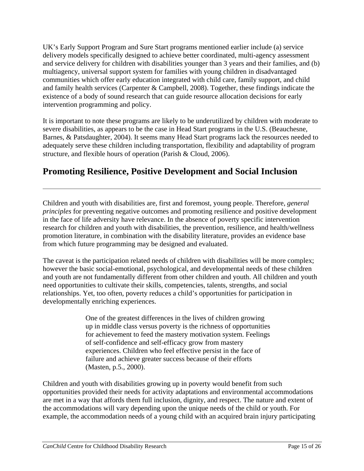<span id="page-15-0"></span>UK's Early Support Program and Sure Start programs mentioned earlier include (a) service delivery models specifically designed to achieve better coordinated, multi-agency assessment and service delivery for children with disabilities younger than 3 years and their families, and (b) multiagency, universal support system for families with young children in disadvantaged communities which offer early education integrated with child care, family support, and child and family health services (Carpenter & Campbell, 2008). Together, these findings indicate the existence of a body of sound research that can guide resource allocation decisions for early intervention programming and policy.

It is important to note these programs are likely to be underutilized by children with moderate to severe disabilities, as appears to be the case in Head Start programs in the U.S. (Beauchesne, Barnes, & Patsdaughter, 2004). It seems many Head Start programs lack the resources needed to adequately serve these children including transportation, flexibility and adaptability of program structure, and flexible hours of operation (Parish & Cloud, 2006).

# **Promoting Resilience, Positive Development and Social Inclusion**

Children and youth with disabilities are, first and foremost, young people. Therefore, *general principles* for preventing negative outcomes and promoting resilience and positive development in the face of life adversity have relevance. In the absence of poverty specific intervention research for children and youth with disabilities, the prevention, resilience, and health/wellness promotion literature, in combination with the disability literature, provides an evidence base from which future programming may be designed and evaluated.

The caveat is the participation related needs of children with disabilities will be more complex; however the basic social-emotional, psychological, and developmental needs of these children and youth are not fundamentally different from other children and youth. All children and youth need opportunities to cultivate their skills, competencies, talents, strengths, and social relationships. Yet, too often, poverty reduces a child's opportunities for participation in developmentally enriching experiences.

> One of the greatest differences in the lives of children growing up in middle class versus poverty is the richness of opportunities for achievement to feed the mastery motivation system. Feelings of self-confidence and self-efficacy grow from mastery experiences. Children who feel effective persist in the face of failure and achieve greater success because of their efforts (Masten, p.5., 2000).

Children and youth with disabilities growing up in poverty would benefit from such opportunities provided their needs for activity adaptations and environmental accommodations are met in a way that affords them full inclusion, dignity, and respect. The nature and extent of the accommodations will vary depending upon the unique needs of the child or youth. For example, the accommodation needs of a young child with an acquired brain injury participating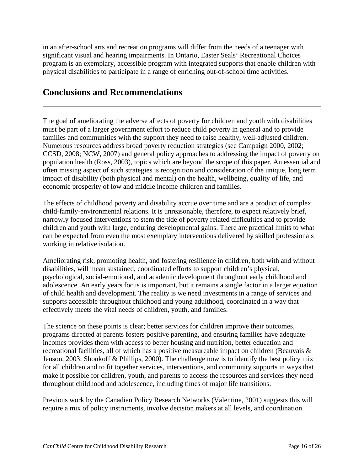<span id="page-16-0"></span>in an after-school arts and recreation programs will differ from the needs of a teenager with significant visual and hearing impairments. In Ontario, Easter Seals' Recreational Choices program is an exemplary, accessible program with integrated supports that enable children with physical disabilities to participate in a range of enriching out-of-school time activities.

# **Conclusions and Recommendations**

The goal of ameliorating the adverse affects of poverty for children and youth with disabilities must be part of a larger government effort to reduce child poverty in general and to provide families and communities with the support they need to raise healthy, well-adjusted children. Numerous resources address broad poverty reduction strategies (see Campaign 2000, 2002; CCSD, 2008; NCW, 2007) and general policy approaches to addressing the impact of poverty on population health (Ross, 2003), topics which are beyond the scope of this paper. An essential and often missing aspect of such strategies is recognition and consideration of the unique, long term impact of disability (both physical and mental) on the health, wellbeing, quality of life, and economic prosperity of low and middle income children and families.

The effects of childhood poverty and disability accrue over time and are a product of complex child-family-environmental relations. It is unreasonable, therefore, to expect relatively brief, narrowly focused interventions to stem the tide of poverty related difficulties and to provide children and youth with large, enduring developmental gains. There are practical limits to what can be expected from even the most exemplary interventions delivered by skilled professionals working in relative isolation.

Ameliorating risk, promoting health, and fostering resilience in children, both with and without disabilities, will mean sustained, coordinated efforts to support children's physical, psychological, social-emotional, and academic development throughout early childhood and adolescence. An early years focus is important, but it remains a single factor in a larger equation of child health and development. The reality is we need investments in a range of services and supports accessible throughout childhood and young adulthood, coordinated in a way that effectively meets the vital needs of children, youth, and families.

The science on these points is clear; better services for children improve their outcomes, programs directed at parents fosters positive parenting, and ensuring families have adequate incomes provides them with access to better housing and nutrition, better education and recreational facilities, all of which has a positive measureable impact on children (Beauvais & Jenson, 2003; Shonkoff & Phillips, 2000). The challenge now is to identify the best policy mix for all children and to fit together services, interventions, and community supports in ways that make it possible for children, youth, and parents to access the resources and services they need throughout childhood and adolescence, including times of major life transitions.

Previous work by the Canadian Policy Research Networks (Valentine, 2001) suggests this will require a mix of policy instruments, involve decision makers at all levels, and coordination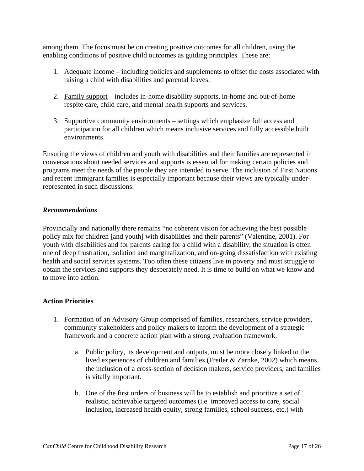<span id="page-17-0"></span>among them. The focus must be on creating positive outcomes for all children, using the enabling conditions of positive child outcomes as guiding principles. These are:

- 1. Adequate income including policies and supplements to offset the costs associated with raising a child with disabilities and parental leaves.
- 2. Family support includes in-home disability supports, in-home and out-of-home respite care, child care, and mental health supports and services.
- 3. Supportive community environments settings which emphasize full access and participation for all children which means inclusive services and fully accessible built environments.

Ensuring the views of children and youth with disabilities and their families are represented in conversations about needed services and supports is essential for making certain policies and programs meet the needs of the people they are intended to serve. The inclusion of First Nations and recent immigrant families is especially important because their views are typically underrepresented in such discussions.

#### *Recommendations*

Provincially and nationally there remains "no coherent vision for achieving the best possible policy mix for children [and youth] with disabilities and their parents" (Valentine, 2001). For youth with disabilities and for parents caring for a child with a disability, the situation is often one of deep frustration, isolation and marginalization, and on-going dissatisfaction with existing health and social services systems. Too often these citizens live in poverty and must struggle to obtain the services and supports they desperately need. It is time to build on what we know and to move into action.

#### **Action Priorities**

- 1. Formation of an Advisory Group comprised of families, researchers, service providers, community stakeholders and policy makers to inform the development of a strategic framework and a concrete action plan with a strong evaluation framework.
	- a. Public policy, its development and outputs, must be more closely linked to the lived experiences of children and families (Freiler & Zarnke, 2002) which means the inclusion of a cross-section of decision makers, service providers, and families is vitally important.
	- b. One of the first orders of business will be to establish and prioritize a set of realistic, achievable targeted outcomes (i.e. improved access to care, social inclusion, increased health equity, strong families, school success, etc.) with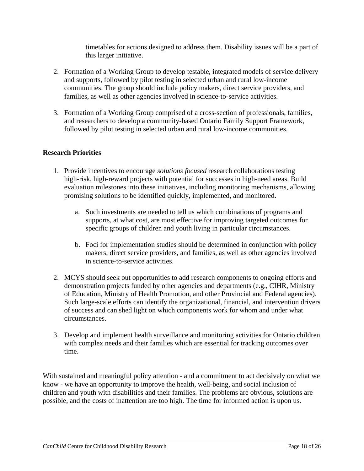timetables for actions designed to address them. Disability issues will be a part of this larger initiative.

- <span id="page-18-0"></span>2. Formation of a Working Group to develop testable, integrated models of service delivery and supports, followed by pilot testing in selected urban and rural low-income communities. The group should include policy makers, direct service providers, and families, as well as other agencies involved in science-to-service activities.
- 3. Formation of a Working Group comprised of a cross-section of professionals, families, and researchers to develop a community-based Ontario Family Support Framework, followed by pilot testing in selected urban and rural low-income communities.

#### **Research Priorities**

- 1. Provide incentives to encourage *solutions focused* research collaborations testing high-risk, high-reward projects with potential for successes in high-need areas. Build evaluation milestones into these initiatives, including monitoring mechanisms, allowing promising solutions to be identified quickly, implemented, and monitored.
	- a. Such investments are needed to tell us which combinations of programs and supports, at what cost, are most effective for improving targeted outcomes for specific groups of children and youth living in particular circumstances.
	- b. Foci for implementation studies should be determined in conjunction with policy makers, direct service providers, and families, as well as other agencies involved in science-to-service activities.
- 2. MCYS should seek out opportunities to add research components to ongoing efforts and demonstration projects funded by other agencies and departments (e.g., CIHR, Ministry of Education, Ministry of Health Promotion, and other Provincial and Federal agencies). Such large-scale efforts can identify the organizational, financial, and intervention drivers of success and can shed light on which components work for whom and under what circumstances.
- 3. Develop and implement health surveillance and monitoring activities for Ontario children with complex needs and their families which are essential for tracking outcomes over time.

With sustained and meaningful policy attention - and a commitment to act decisively on what we know - we have an opportunity to improve the health, well-being, and social inclusion of children and youth with disabilities and their families. The problems are obvious, solutions are possible, and the costs of inattention are too high. The time for informed action is upon us.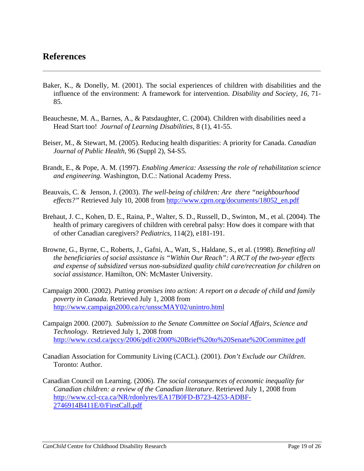# <span id="page-19-0"></span>**References**

- Baker, K., & Donelly, M. (2001). The social experiences of children with disabilities and the influence of the environment: A framework for intervention. *Disability and Society, 16*, 71- 85.
- Beauchesne, M. A., Barnes, A., & Patsdaughter, C. (2004). Children with disabilities need a Head Start too! *Journal of Learning Disabilities,* 8 (1), 41-55.
- Beiser, M., & Stewart, M. (2005). Reducing health disparities: A priority for Canada. *Canadian Journal of Public Health*, 96 (Suppl 2), S4-S5.
- Brandt, E., & Pope, A. M. (1997). *Enabling America: Assessing the role of rehabilitation science and engineering.* Washington, D.C.: National Academy Press.
- Beauvais, C. & Jenson, J. (2003). *The well-being of children: Are there "neighbourhood effects?"* Retrieved July 10, 2008 from [http://www.cprn.org/documents/18052\\_en.pdf](http://www.cprn.org/documents/18052_en.pdf)
- Brehaut, J. C., Kohen, D. E., Raina, P., Walter, S. D., Russell, D., Swinton, M., et al. (2004). The health of primary caregivers of children with cerebral palsy: How does it compare with that of other Canadian caregivers? *Pediatrics,* 114(2), e181-191.
- Browne, G., Byrne, C., Roberts, J., Gafni, A., Watt, S., Haldane, S., et al. (1998). *Benefiting all the beneficiaries of social assistance is "Within Our Reach": A RCT of the two-year effects and expense of subsidized versus non-subsidized quality child care/recreation for children on social assistance*. Hamilton, ON: McMaster University.
- Campaign 2000. (2002). *Putting promises into action: A report on a decade of child and family poverty in Canada.* Retrieved July 1, 2008 from <http://www.campaign2000.ca/rc/unsscMAY02/unintro.html>
- Campaign 2000. (2007). *Submission to the Senate Committee on Social Affairs, Science and Technology.* Retrieved July 1, 2008 from <http://www.ccsd.ca/pccy/2006/pdf/c2000%20Brief%20to%20Senate%20Committee.pdf>
- Canadian Association for Community Living (CACL). (2001). *Don't Exclude our Children*. Toronto: Author.
- Canadian Council on Learning. (2006). *The social consequences of economic inequality for Canadian children: a review of the Canadian literature*. Retrieved July 1, 2008 from [http://www.ccl-cca.ca/NR/rdonlyres/EA17B0FD-B723-4253-ADBF-](http://www.ccl-cca.ca/NR/rdonlyres/EA17B0FD-B723-4253-ADBF-2746914B411E/0/FirstCall.pdf)[2746914B411E/0/FirstCall.pdf](http://www.ccl-cca.ca/NR/rdonlyres/EA17B0FD-B723-4253-ADBF-2746914B411E/0/FirstCall.pdf)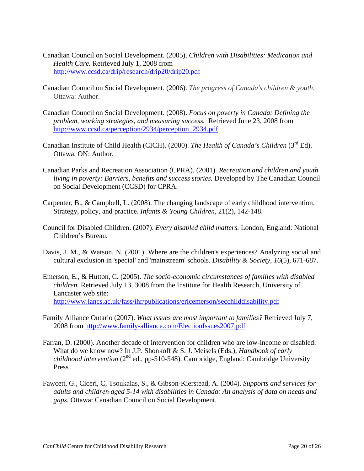- Canadian Council on Social Development. (2005). *Children with Disabilities: Medication and Health Care.* Retrieved July 1, 2008 from <http://www.ccsd.ca/drip/research/drip20/drip20.pdf>
- Canadian Council on Social Development. (2006). *The progress of Canada's children & youth*. Ottawa: Author.
- Canadian Council on Social Development. (2008). *Focus on poverty in Canada: Defining the problem, working strategies, and measuring success.* Retrieved June 23, 2008 from [http://www.ccsd.ca/perception/2934/perception\\_2934.pdf](http://www.ccsd.ca/perception/2934/perception_2934.pdf)
- Canadian Institute of Child Health (CICH). (2000). *The Health of Canada's Children* (3<sup>rd</sup> Ed). Ottawa, ON: Author.
- Canadian Parks and Recreation Association (CPRA). (2001). *Recreation and children and youth living in poverty: Barriers, benefits and success stories.* Developed by The Canadian Council on Social Development (CCSD) for CPRA.
- Carpenter, B., & Campbell, L. (2008). The changing landscape of early childhood intervention. Strategy, policy, and practice. *Infants & Young Children,* 21(2), 142-148.
- Council for Disabled Children. (2007). *Every disabled child matters.* London, England: National Children's Bureau.
- Davis, J. M., & Watson, N. (2001). Where are the children's experiences? Analyzing social and cultural exclusion in 'special' and 'mainstream' schools. *Disability & Society, 16*(5), 671-687.
- Emerson, E., & Hutton, C. (2005). *The socio-economic circumstances of families with disabled children.* Retrieved July 13, 3008 from the Institute for Health Research, University of Lancaster web site: <http://www.lancs.ac.uk/fass/ihr/publications/ericemerson/secchilddisability.pdf>
- Family Alliance Ontario (2007). *What issues are most important to families?* Retrieved July 7, 2008 from<http://www.family-alliance.com/ElectionIssues2007.pdf>
- Farran, D. (2000). Another decade of intervention for children who are low-income or disabled: What do we know now? In J.P. Shonkoff & S. J. Meisels (Eds.), *Handbook of early childhood intervention* ( $2<sup>nd</sup>$  ed., pp-510-548). Cambridge, England: Cambridge University Press
- Fawcett, G., Ciceri, C, Tsoukalas, S., & Gibson-Kierstead, A. (2004). *Supports and services for adults and children aged 5-14 with disabilities in Canada: An analysis of data on needs and gaps.* Ottawa: Canadian Council on Social Development.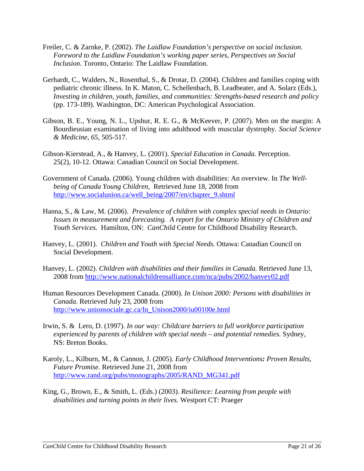- Freiler, C. & Zarnke, P. (2002). *The Laidlaw Foundation's perspective on social inclusion. Foreword to the Laidlaw Foundation's working paper series, Perspectives on Social Inclusion.* Toronto, Ontario: The Laidlaw Foundation.
- Gerhardt, C., Walders, N., Rosenthal, S., & Drotar, D. (2004). Children and families coping with pediatric chronic illness. In K. Maton, C. Schellenbach, B. Leadbeater, and A. Solarz (Eds.), *Investing in children, youth, families, and communities: Strengths-based research and policy*  (pp. 173-189). Washington, DC: American Psychological Association.
- Gibson, B. E., Young, N. L., Upshur, R. E. G., & McKeever, P. (2007). Men on the margin: A Bourdieusian examination of living into adulthood with muscular dystrophy. *Social Science & Medicine, 65*, 505-517.
- Gibson-Kierstead, A., & Hanvey, L. (2001). *Special Education in Canada.* Perception. 25(2), 10-12. Ottawa: Canadian Council on Social Development.
- Government of Canada. (2006). Young children with disabilities: An overview. In *The Wellbeing of Canada Young Children,* Retrieved June 18, 2008 from [http://www.socialunion.ca/well\\_being/2007/en/chapter\\_9.shtml](http://www.socialunion.ca/well_being/2007/en/chapter_9.shtml)
- Hanna, S., & Law, M. (2006). *Prevalence of children with complex special needs in Ontario: Issues in measurement and forecasting. A report for the Ontario Ministry of Children and Youth Services.* Hamilton, ON: *CanChild* Centre for Childhood Disability Research.
- Hanvey, L. (2001). *Children and Youth with Special Needs.* Ottawa: Canadian Council on Social Development*.*
- Hanvey, L. (2002). *Children with disabilities and their families in Canada.* Retrieved June 13, 2008 from<http://www.nationalchildrensalliance.com/nca/pubs/2002/hanvey02.pdf>
- Human Resources Development Canada. (2000). *In Unison 2000: Persons with disabilities in Canada.* Retrieved July 23, 2008 from [http://www.unionsociale.gc.ca/In\\_Unison2000/iu00100e.html](http://www.unionsociale.gc.ca/In_Unison2000/iu00100e.html)
- Irwin, S. & Lero, D. (1997). *In our way: Childcare barriers to full workforce participation experienced by parents of children with special needs – and potential remedies.* Sydney, NS: Breton Books.
- Karoly, L., Kilburn, M., & Cannon, J. (2005). *Early Childhood Interventions: Proven Results, Future Promise.* Retrieved June 21, 2008 from [http://www.rand.org/pubs/monographs/2005/RAND\\_MG341.pdf](http://www.rand.org/pubs/monographs/2005/RAND_MG341.pdf)
- King, G., Brown, E., & Smith, L. (Eds.) (2003). *Resilience: Learning from people with disabilities and turning points in their lives.* Westport CT: Praeger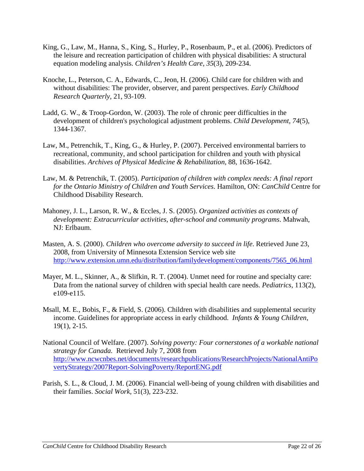- King, G., Law, M., Hanna, S., King, S., Hurley, P., Rosenbaum, P., et al. (2006). Predictors of the leisure and recreation participation of children with physical disabilities: A structural equation modeling analysis. *Children's Health Care, 35*(3), 209-234.
- Knoche, L., Peterson, C. A., Edwards, C., Jeon, H. (2006). Child care for children with and without disabilities: The provider, observer, and parent perspectives. *Early Childhood Research Quarterly,* 21, 93-109.
- Ladd, G. W., & Troop-Gordon, W. (2003). The role of chronic peer difficulties in the development of children's psychological adjustment problems. *Child Development, 74*(5), 1344-1367.
- Law, M., Petrenchik, T., King, G., & Hurley, P. (2007). Perceived environmental barriers to recreational, community, and school participation for children and youth with physical disabilities. *Archives of Physical Medicine & Rehabilitation,* 88, 1636-1642.
- Law, M. & Petrenchik, T. (2005). *Participation of children with complex needs: A final report for the Ontario Ministry of Children and Youth Services*. Hamilton, ON: *CanChild* Centre for Childhood Disability Research.
- Mahoney, J. L., Larson, R. W., & Eccles, J. S. (2005). *Organized activities as contexts of development: Extracurricular activities, after-school and community programs*. Mahwah, NJ: Erlbaum.
- Masten, A. S. (2000). *Children who overcome adversity to succeed in life*. Retrieved June 23, 2008, from University of Minnesota Extension Service web site [http://www.extension.umn.edu/distribution/familydevelopment/components/7565\\_06.html](http://www.extension.umn.edu/distribution/familydevelopment/components/7565_06.html)
- Mayer, M. L., Skinner, A., & Slifkin, R. T. (2004). Unmet need for routine and specialty care: Data from the national survey of children with special health care needs. *Pediatrics,* 113(2), e109-e115.
- Msall, M. E., Bobis, F., & Field, S. (2006). Children with disabilities and supplemental security income. Guidelines for appropriate access in early childhood. *Infants & Young Children,* 19(1), 2-15.
- National Council of Welfare. (2007). *Solving poverty: Four cornerstones of a workable national strategy for Canada.* Retrieved July 7, 2008 from [http://www.ncwcnbes.net/documents/researchpublications/ResearchProjects/NationalAntiPo](http://www.ncwcnbes.net/documents/researchpublications/ResearchProjects/NationalAntiPovertyStrategy/2007Report-SolvingPoverty/ReportENG.pdf) [vertyStrategy/2007Report-SolvingPoverty/ReportENG.pdf](http://www.ncwcnbes.net/documents/researchpublications/ResearchProjects/NationalAntiPovertyStrategy/2007Report-SolvingPoverty/ReportENG.pdf)
- Parish, S. L., & Cloud, J. M. (2006). Financial well-being of young children with disabilities and their families. *Social Work,* 51(3), 223-232.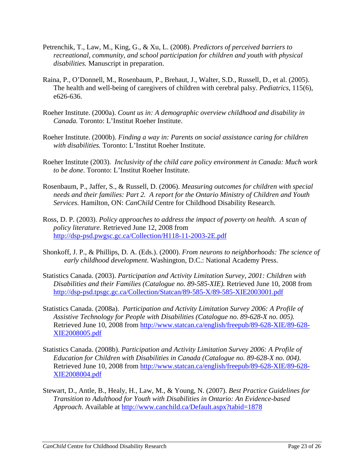- Petrenchik, T., Law, M., King, G., & Xu, L. (2008). *Predictors of perceived barriers to recreational, community, and school participation for children and youth with physical disabilities.* Manuscript in preparation.
- Raina, P., O'Donnell, M., Rosenbaum, P., Brehaut, J., Walter, S.D., Russell, D., et al. (2005). The health and well-being of caregivers of children with cerebral palsy. *Pediatrics,* 115(6), e626-636.
- Roeher Institute. (2000a). *Count us in: A demographic overview childhood and disability in Canada.* Toronto: L'Institut Roeher Institute.
- Roeher Institute. (2000b). *Finding a way in: Parents on social assistance caring for children with disabilities.* Toronto: L'Institut Roeher Institute.
- Roeher Institute (2003). *Inclusivity of the child care policy environment in Canada: Much work to be done*. Toronto: L'Institut Roeher Institute.
- Rosenbaum, P., Jaffer, S., & Russell, D. (2006). *Measuring outcomes for children with special needs and their families: Part 2. A report for the Ontario Ministry of Children and Youth Services.* Hamilton, ON: *CanChild* Centre for Childhood Disability Research.
- Ross, D. P. (2003). *Policy approaches to address the impact of poverty on health. A scan of policy literature.* Retrieved June 12, 2008 from <http://dsp-psd.pwgsc.gc.ca/Collection/H118-11-2003-2E.pdf>
- Shonkoff, J. P., & Phillips, D. A. (Eds.). (2000). *From neurons to neighborhoods: The science of early childhood development*. Washington, D.C.: National Academy Press.
- Statistics Canada. (2003). *Participation and Activity Limitation Survey, 2001: Children with Disabilities and their Families (Catalogue no. 89-585-XIE).* Retrieved June 10, 2008 from <http://dsp-psd.tpsgc.gc.ca/Collection/Statcan/89-585-X/89-585-XIE2003001.pdf>
- Statistics Canada. (2008a). *Participation and Activity Limitation Survey 2006: A Profile of Assistive Technology for People with Disabilities (Catalogue no. 89-628-X no. 005).* Retrieved June 10, 2008 from [http://www.statcan.ca/english/freepub/89-628-XIE/89-628-](http://www.statcan.ca/english/freepub/89-628-XIE/89-628-XIE2008005.pdf) [XIE2008005.pdf](http://www.statcan.ca/english/freepub/89-628-XIE/89-628-XIE2008005.pdf)
- Statistics Canada. (2008b). *Participation and Activity Limitation Survey 2006: A Profile of Education for Children with Disabilities in Canada (Catalogue no. 89-628-X no. 004).* Retrieved June 10, 2008 from [http://www.statcan.ca/english/freepub/89-628-XIE/89-628-](http://www.statcan.ca/english/freepub/89-628-XIE/89-628-XIE2008004.pdf) [XIE2008004.pdf](http://www.statcan.ca/english/freepub/89-628-XIE/89-628-XIE2008004.pdf)
- Stewart, D., Antle, B., Healy, H., Law, M., & Young, N. (2007). *Best Practice Guidelines for Transition to Adulthood for Youth with Disabilities in Ontario: An Evidence-based Approach*. Available at <http://www.canchild.ca/Default.aspx?tabid=1878>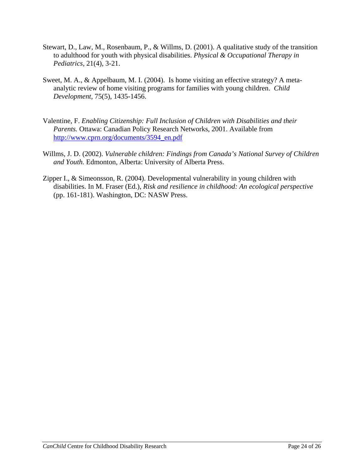- Stewart, D., Law, M., Rosenbaum, P., & Willms, D. (2001). A qualitative study of the transition to adulthood for youth with physical disabilities. *Physical & Occupational Therapy in Pediatrics,* 21(4), 3-21.
- Sweet, M. A., & Appelbaum, M. I. (2004). Is home visiting an effective strategy? A metaanalytic review of home visiting programs for families with young children. *Child Development,* 75(5), 1435-1456.
- Valentine, F. *Enabling Citizenship: Full Inclusion of Children with Disabilities and their Parents.* Ottawa: Canadian Policy Research Networks, 2001. Available from [http://www.cprn.org/documents/3594\\_en.pdf](http://www.cprn.org/documents/3594_en.pdf)
- Willms, J. D. (2002). *Vulnerable children: Findings from Canada's National Survey of Children and Youth.* Edmonton, Alberta: University of Alberta Press.
- Zipper I., & Simeonsson, R. (2004). Developmental vulnerability in young children with disabilities. In M. Fraser (Ed.), *Risk and resilience in childhood: An ecological perspective* (pp. 161-181). Washington, DC: NASW Press.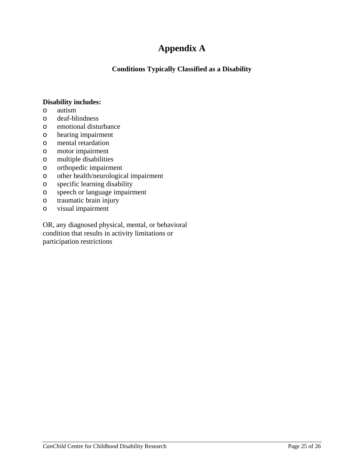# **Appendix A**

**Conditions Typically Classified as a Disability**

### <span id="page-25-0"></span>**Disability includes:**

- o autism
- o deaf-blindness
- o emotional disturbance
- o hearing impairment
- o mental retardation
- o motor impairment
- o multiple disabilities
- o orthopedic impairment
- o other health/neurological impairment
- o specific learning disability
- o speech or language impairment
- o traumatic brain injury
- o visual impairment

OR, any diagnosed physical, mental, or behavioral condition that results in activity limitations or participation restrictions